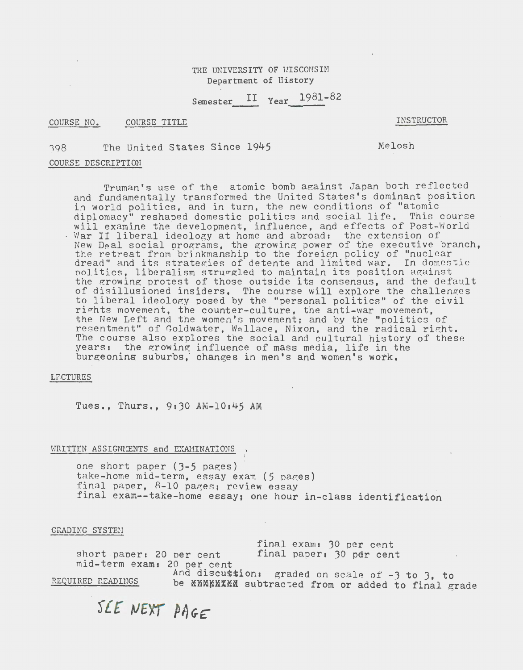# THE UNIVERSITY OF WISCONSIN Department of History

Semester  $II$  Year  $1981-82$ 

## COURSE NO. COURSE TITLE

INSTRUCTOR

Melosh

J98 The United States Since 1945

## COURSE DESCRIPTION

 $\Delta \sim$  $\sim$   $\sim$ 

> Truman's use of the atomic bomb against Japan both reflected and fundamentally transformed the United States's dominant position in world politics, and in turn, the new conditions of "atomic diplomacy" reshaped domestic politics and social life. This course will examine the development, influence, and effects of Post-World Will examine the development, influence, and effects of footh New Deal social programs, the growing power of the executive branch, the retreat from brinkmanship to the foreign policy of "nuclear" dread" and its strategies of detente and limited war. In domestic politics, liberalism struggled to maintain its position against portices, fiberalism struggled to maintain its position against of disillusioned insiders. The course will explore the challenges to liberal ideology posed by the "personal politics" of the civil rights movement, the counter-culture, the anti-war movement, the New Left and the women's movement; and by the "politics of resentment" of Goldwater, Wallace, Nixon, and the radical right. The course also explores the social and cultural history of these yearss the growing influence of mass media, life in the burgeoning suburbs, changes in men's and women's work.

#### LECTURES

Tues., Thurs.,  $9:30$   $AM-10:45$  AM

# WRITTEN ASSIGNMENTS and EXAMINATIONS,

one short paper (3-5 pages) take-home mid-term, essay exam (5 pages) final paper,  $8-10$  pages; review essay final exam--take-home essay; one hour in-class identification

*i* 

# GRADING SYSTEM

final exam: 30 per cent short paper: 20 per cent final paper:  $30$  pdr cent mid-term exams 20 per cent And discussion: graded on scale of  $-3$  to 3, to

REQUIRED READINGS be \*MMMMX\*M subtracted from or added to final grade

SEE NEXT PAGE